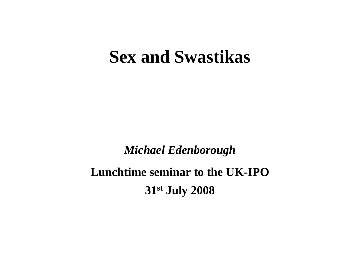#### **Sex and Swastikas**

*Michael Edenborough*

**Lunchtime seminar to the UK-IPO 31st July 2008**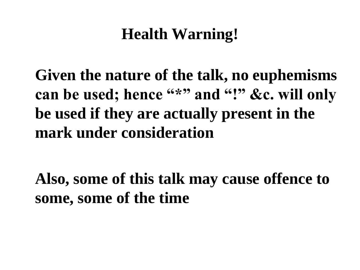### **Health Warning!**

**Given the nature of the talk, no euphemisms**  can be used; hence "\*" and "!" &c. will only **be used if they are actually present in the mark under consideration**

**Also, some of this talk may cause offence to some, some of the time**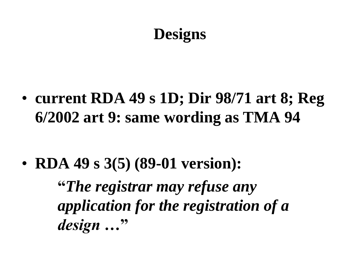### **Designs**

• **current RDA 49 s 1D; Dir 98/71 art 8; Reg 6/2002 art 9: same wording as TMA 94**

• **RDA 49 s 3(5) (89-01 version):**

**"***The registrar may refuse any application for the registration of a design …***"**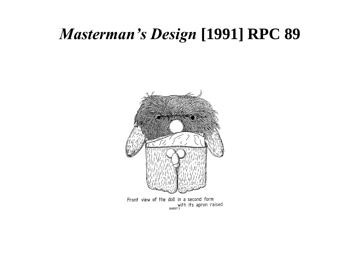## *Masterman's Design* **[1991] RPC 89**



Front view of the doll in a second form with its apron raised.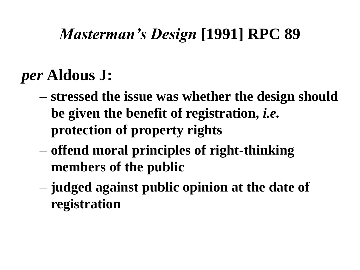## *Masterman's Design* **[1991] RPC 89**

### *per* **Aldous J:**

- **stressed the issue was whether the design should be given the benefit of registration,** *i.e.* **protection of property rights**
- **offend moral principles of right-thinking members of the public**
- **judged against public opinion at the date of registration**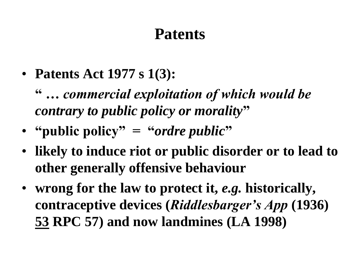#### **Patents**

- **Patents Act 1977 s 1(3):**
	- **"** *… commercial exploitation of which would be contrary to public policy or morality***"**
- **"public policy" = "***ordre public***"**
- **likely to induce riot or public disorder or to lead to other generally offensive behaviour**
- **wrong for the law to protect it,** *e.g.* **historically, contraceptive devices (***Riddlesbarger's App* **(1936) 53 RPC 57) and now landmines (LA 1998)**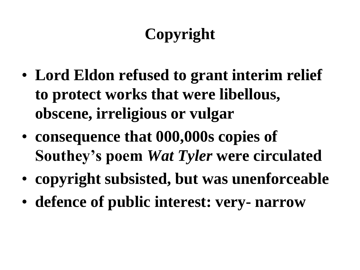# **Copyright**

- **Lord Eldon refused to grant interim relief to protect works that were libellous, obscene, irreligious or vulgar**
- **consequence that 000,000s copies of Southey's poem** *Wat Tyler* **were circulated**
- **copyright subsisted, but was unenforceable**
- **defence of public interest: very- narrow**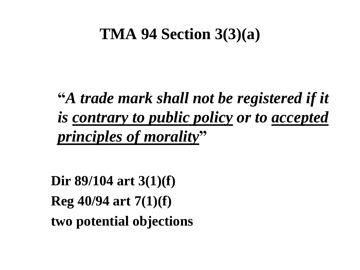#### **TMA 94 Section 3(3)(a)**

**"***A trade mark shall not be registered if it is contrary to public policy or to accepted principles of morality***"**

**Dir 89/104 art 3(1)(f) Reg 40/94 art 7(1)(f) two potential objections**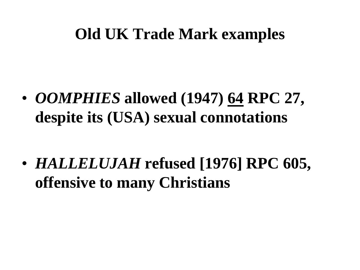#### **Old UK Trade Mark examples**

• *OOMPHIES* **allowed (1947) 64 RPC 27, despite its (USA) sexual connotations**

• *HALLELUJAH* **refused [1976] RPC 605, offensive to many Christians**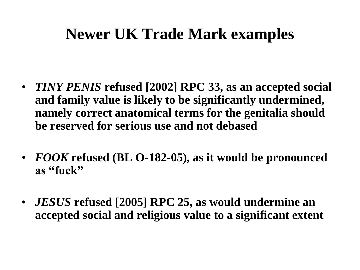### **Newer UK Trade Mark examples**

- *TINY PENIS* **refused [2002] RPC 33, as an accepted social and family value is likely to be significantly undermined, namely correct anatomical terms for the genitalia should be reserved for serious use and not debased**
- *FOOK* **refused (BL O-182-05), as it would be pronounced as "fuck"**
- *JESUS* **refused [2005] RPC 25, as would undermine an accepted social and religious value to a significant extent**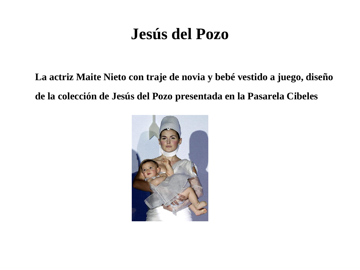### **Jesús del Pozo**

**La actriz Maite Nieto con traje de novia y bebé vestido a juego, diseño de la colección de Jesús del Pozo presentada en la Pasarela Cibeles**

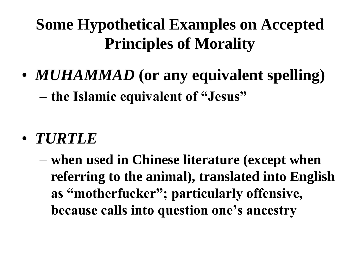## **Some Hypothetical Examples on Accepted Principles of Morality**

- *MUHAMMAD* **(or any equivalent spelling)** – **the Islamic equivalent of "Jesus"**
- *TURTLE*
	- **when used in Chinese literature (except when referring to the animal), translated into English as "motherfucker"; particularly offensive, because calls into question one's ancestry**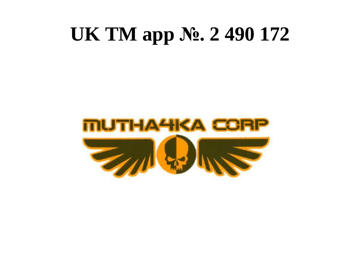# **UK TM app №. 2 490 172**

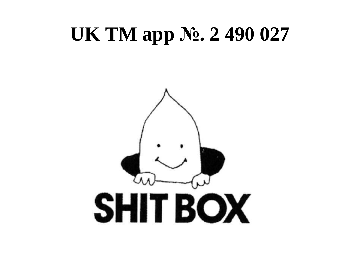# **UK TM app №. 2 490 027**

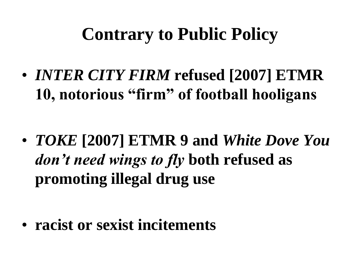## **Contrary to Public Policy**

• *INTER CITY FIRM* **refused [2007] ETMR 10, notorious "firm" of football hooligans**

• *TOKE* **[2007] ETMR 9 and** *White Dove You don't need wings to fly* **both refused as promoting illegal drug use**

• **racist or sexist incitements**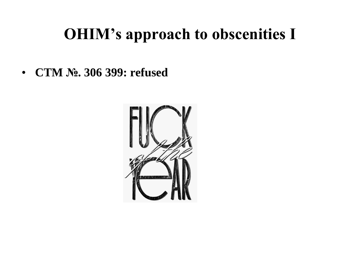## **OHIM's approach to obscenities I**

• **CTM №. 306 399: refused**

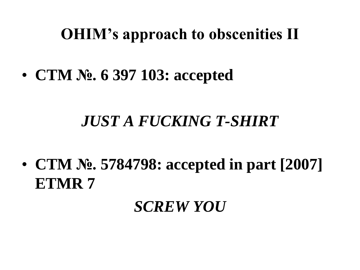### **OHIM's approach to obscenities II**

• **CTM №. 6 397 103: accepted**

### *JUST A FUCKING T-SHIRT*

• **CTM №. 5784798: accepted in part [2007] ETMR 7**

#### *SCREW YOU*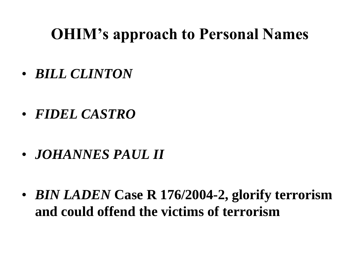### **OHIM's approach to Personal Names**

- *BILL CLINTON*
- *FIDEL CASTRO*
- *JOHANNES PAUL II*
- *BIN LADEN* **Case R 176/2004-2, glorify terrorism and could offend the victims of terrorism**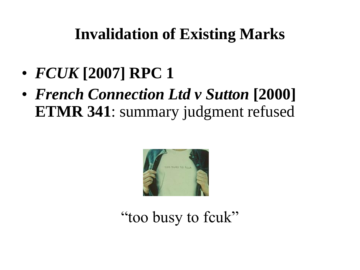### **Invalidation of Existing Marks**

- *FCUK* **[2007] RPC 1**
- *French Connection Ltd v Sutton* **[2000] ETMR 341**: summary judgment refused



"too busy to fcuk"